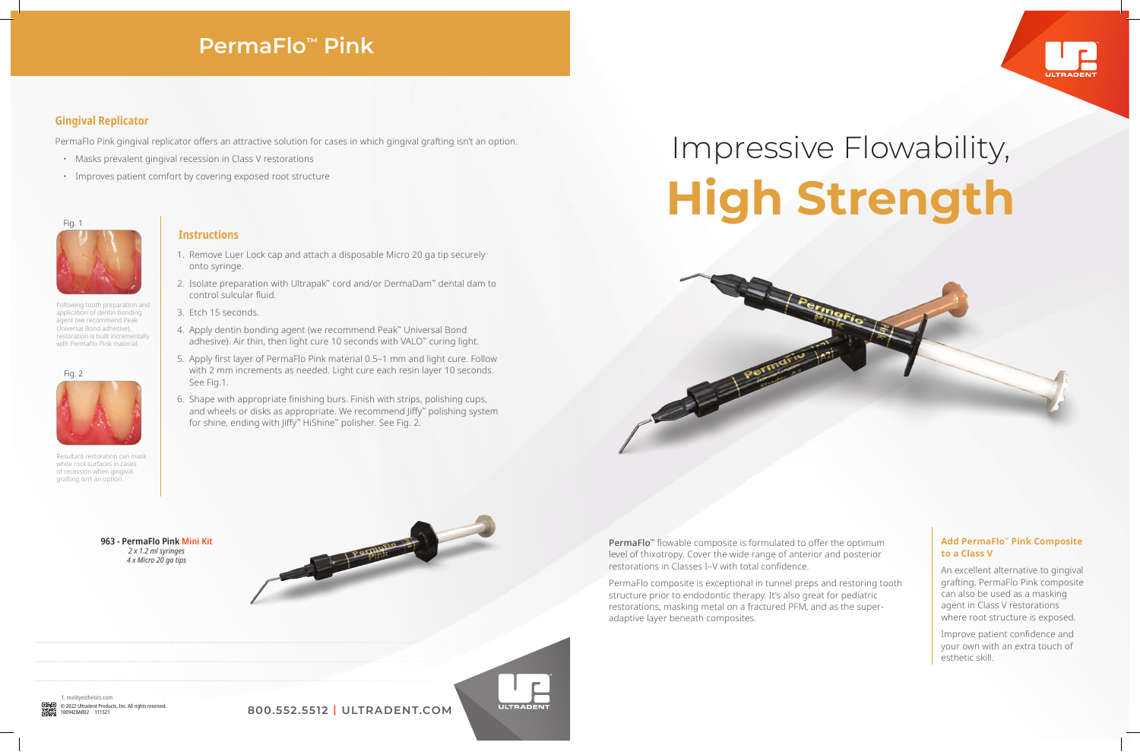

1. realityesthetics.com<br>© 2022 Ultradent Products. Inc. All rights reserved.

© 2022 Ultradent Products, Inc. All rights reserved. **800.552.5512 | ULTRADENT.COM**



### **Gingival Replicator**

PermaFlo Pink gingival replicator offers an attractive solution for cases in which gingival grafting isn't an option.

- Masks prevalent gingival recession in Class V restorations
- Improves patient comfort by covering exposed root structure

# Impressive Flowability, **High Strength**

## **PermaFlo™ Pink**

**963 - PermaFlo Pink Mini Kit** *2 x 1.2 ml syringes 4 x Micro 20 ga tips*



**ULTRADEN** 

### **Instructions**

Resultant restoration can mask white root surfaces in cases of recession when gingival grafting isn't an option.

> PermaFlo<sup>™</sup> flowable composite is formulated to offer the optimum level of thixotropy. Cover the wide range of anterior and posterior restorations in Classes I–V with total confidence.

- 1. Remove Luer Lock cap and attach a disposable Micro 20 ga tip securely onto syringe.
- 2. Isolate preparation with Ultrapak™ cord and/or DermaDam™ dental dam to control sulcular fluid.
- 3. Etch 15 seconds.
- 4. Apply dentin bonding agent (we recommend Peak™ Universal Bond adhesive). Air thin, then light cure 10 seconds with VALO<sup>™</sup> curing light.
- 5. Apply first layer of PermaFlo Pink material 0.5–1 mm and light cure. Follow with 2 mm increments as needed. Light cure each resin layer 10 seconds. See Fig.1.
- 6. Shape with appropriate finishing burs. Finish with strips, polishing cups, and wheels or disks as appropriate. We recommend Jiffy<sup>™</sup> polishing system for shine, ending with Jiffy™ HiShine™ polisher. See Fig. 2.





Following tooth preparation and application of dentin bonding agent (we recommend Peak Universal Bond adhesive), restoration is built incrementally with PermaFlo Pink material.

#### Fig. 1



Fig. 2



PermaFlo composite is exceptional in tunnel preps and restoring tooth structure prior to endodontic therapy. It's also great for pediatric restorations, masking metal on a fractured PFM, and as the superadaptive layer beneath composites.

### **Add PermaFlo™ Pink Composite to a Class V**

An excellent alternative to gingival grafting, PermaFlo Pink composite can also be used as a masking agent in Class V restorations where root structure is exposed.

Improve patient confidence and your own with an extra touch of esthetic skill.